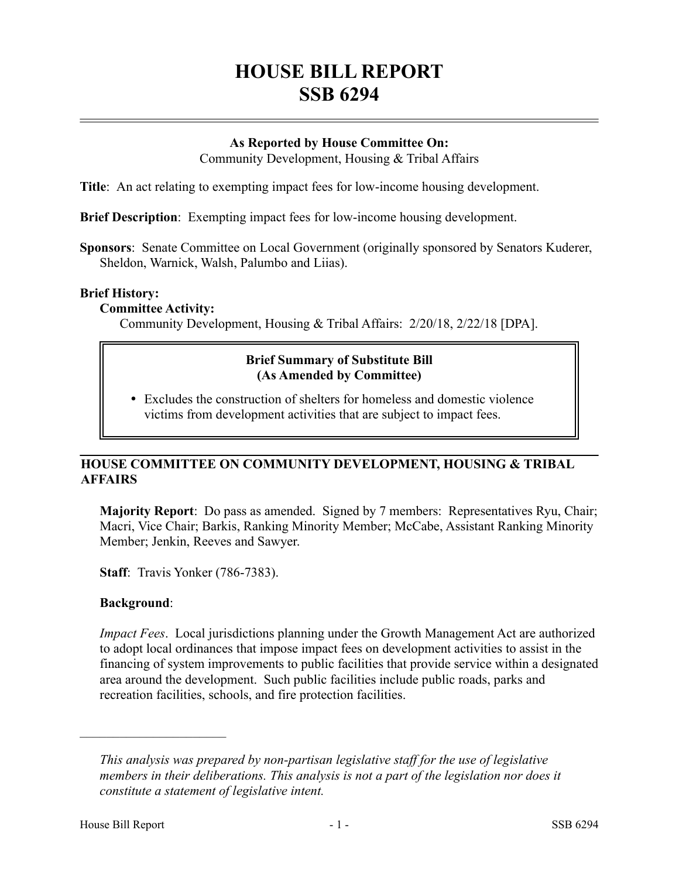# **HOUSE BILL REPORT SSB 6294**

# **As Reported by House Committee On:**

Community Development, Housing & Tribal Affairs

**Title**: An act relating to exempting impact fees for low-income housing development.

**Brief Description**: Exempting impact fees for low-income housing development.

**Sponsors**: Senate Committee on Local Government (originally sponsored by Senators Kuderer, Sheldon, Warnick, Walsh, Palumbo and Liias).

### **Brief History:**

#### **Committee Activity:**

Community Development, Housing & Tribal Affairs: 2/20/18, 2/22/18 [DPA].

# **Brief Summary of Substitute Bill (As Amended by Committee)**

 Excludes the construction of shelters for homeless and domestic violence victims from development activities that are subject to impact fees.

# **HOUSE COMMITTEE ON COMMUNITY DEVELOPMENT, HOUSING & TRIBAL AFFAIRS**

**Majority Report**: Do pass as amended. Signed by 7 members: Representatives Ryu, Chair; Macri, Vice Chair; Barkis, Ranking Minority Member; McCabe, Assistant Ranking Minority Member; Jenkin, Reeves and Sawyer.

**Staff**: Travis Yonker (786-7383).

# **Background**:

––––––––––––––––––––––

*Impact Fees*. Local jurisdictions planning under the Growth Management Act are authorized to adopt local ordinances that impose impact fees on development activities to assist in the financing of system improvements to public facilities that provide service within a designated area around the development. Such public facilities include public roads, parks and recreation facilities, schools, and fire protection facilities.

*This analysis was prepared by non-partisan legislative staff for the use of legislative members in their deliberations. This analysis is not a part of the legislation nor does it constitute a statement of legislative intent.*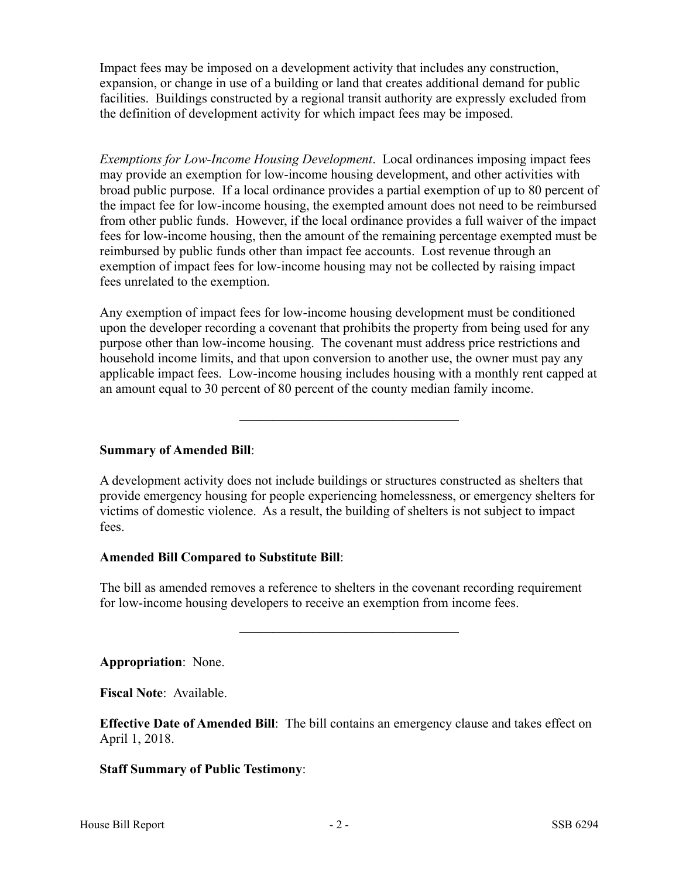Impact fees may be imposed on a development activity that includes any construction, expansion, or change in use of a building or land that creates additional demand for public facilities. Buildings constructed by a regional transit authority are expressly excluded from the definition of development activity for which impact fees may be imposed.

*Exemptions for Low-Income Housing Development*. Local ordinances imposing impact fees may provide an exemption for low-income housing development, and other activities with broad public purpose. If a local ordinance provides a partial exemption of up to 80 percent of the impact fee for low-income housing, the exempted amount does not need to be reimbursed from other public funds. However, if the local ordinance provides a full waiver of the impact fees for low-income housing, then the amount of the remaining percentage exempted must be reimbursed by public funds other than impact fee accounts. Lost revenue through an exemption of impact fees for low-income housing may not be collected by raising impact fees unrelated to the exemption.

Any exemption of impact fees for low-income housing development must be conditioned upon the developer recording a covenant that prohibits the property from being used for any purpose other than low-income housing. The covenant must address price restrictions and household income limits, and that upon conversion to another use, the owner must pay any applicable impact fees. Low-income housing includes housing with a monthly rent capped at an amount equal to 30 percent of 80 percent of the county median family income.

–––––––––––––––––––––––––––––––––

# **Summary of Amended Bill**:

A development activity does not include buildings or structures constructed as shelters that provide emergency housing for people experiencing homelessness, or emergency shelters for victims of domestic violence. As a result, the building of shelters is not subject to impact fees.

#### **Amended Bill Compared to Substitute Bill**:

The bill as amended removes a reference to shelters in the covenant recording requirement for low-income housing developers to receive an exemption from income fees.

–––––––––––––––––––––––––––––––––

**Appropriation**: None.

**Fiscal Note**: Available.

**Effective Date of Amended Bill**: The bill contains an emergency clause and takes effect on April 1, 2018.

# **Staff Summary of Public Testimony**: